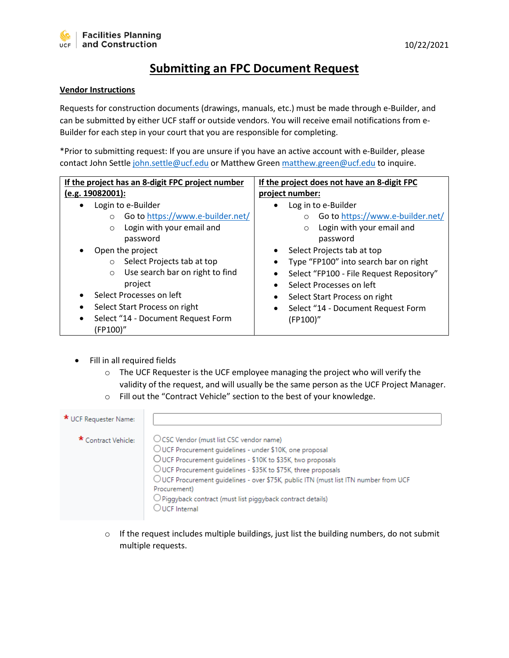## **Submitting an FPC Document Request**

## **Vendor Instructions**

Requests for construction documents (drawings, manuals, etc.) must be made through e-Builder, and can be submitted by either UCF staff or outside vendors. You will receive email notifications from e-Builder for each step in your court that you are responsible for completing.

\*Prior to submitting request: If you are unsure if you have an active account with e-Builder, please contact John Settl[e john.settle@ucf.edu](mailto:john.settle@ucf.edu) or Matthew Green [matthew.green@ucf.edu](mailto:matthew.green@ucf.edu) to inquire.

| If the project has an 8-digit FPC project number                                                                                                                                                                                                                                                                                                           | If the project does not have an 8-digit FPC                                                                                                                                                                                                                                                                                                                                  |  |  |
|------------------------------------------------------------------------------------------------------------------------------------------------------------------------------------------------------------------------------------------------------------------------------------------------------------------------------------------------------------|------------------------------------------------------------------------------------------------------------------------------------------------------------------------------------------------------------------------------------------------------------------------------------------------------------------------------------------------------------------------------|--|--|
| (e.g. 19082001):                                                                                                                                                                                                                                                                                                                                           | project number:                                                                                                                                                                                                                                                                                                                                                              |  |  |
| Login to e-Builder<br>Go to https://www.e-builder.net/<br>$\circ$<br>Login with your email and<br>$\circ$<br>password<br>Open the project<br>Select Projects tab at top<br>$\circ$<br>Use search bar on right to find<br>$\circ$<br>project<br>Select Processes on left<br>Select Start Process on right<br>Select "14 - Document Request Form<br>(FP100)" | Log in to e-Builder<br>Go to https://www.e-builder.net/<br>Login with your email and<br>$\circ$<br>password<br>Select Projects tab at top<br>$\bullet$<br>Type "FP100" into search bar on right<br>Select "FP100 - File Request Repository"<br>Select Processes on left<br>$\bullet$<br>Select Start Process on right<br>Select "14 - Document Request Form<br>٠<br>(FP100)" |  |  |

- Fill in all required fields
	- o The UCF Requester is the UCF employee managing the project who will verify the validity of the request, and will usually be the same person as the UCF Project Manager.
	- o Fill out the "Contract Vehicle" section to the best of your knowledge.

| * UCF Requester Name: |                                                                                                                                                                                                                                                                                                                                                                                                                                               |
|-----------------------|-----------------------------------------------------------------------------------------------------------------------------------------------------------------------------------------------------------------------------------------------------------------------------------------------------------------------------------------------------------------------------------------------------------------------------------------------|
| * Contract Vehicle:   | ○ CSC Vendor (must list CSC vendor name)<br>OUCF Procurement guidelines - under \$10K, one proposal<br>OUCF Procurement guidelines - \$10K to \$35K, two proposals<br>OUCF Procurement quidelines - \$35K to \$75K, three proposals<br>OUCF Procurement quidelines - over \$75K, public ITN (must list ITN number from UCF<br>Procurement)<br>$\bigcirc$ Piggyback contract (must list piggyback contract details)<br>$\bigcirc$ UCF Internal |

o If the request includes multiple buildings, just list the building numbers, do not submit multiple requests.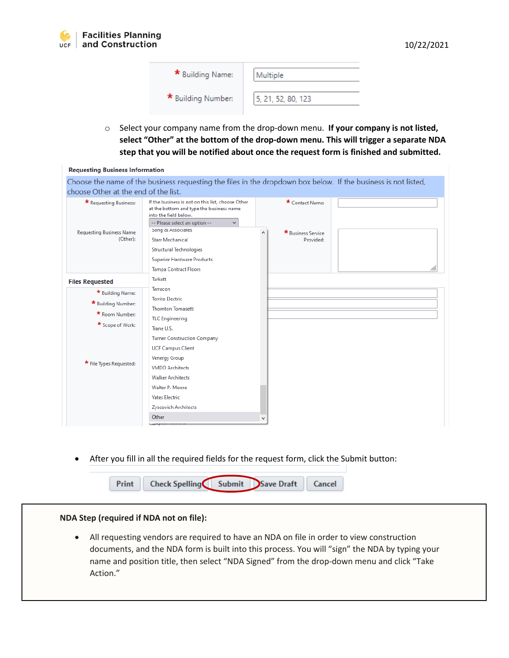| * Building Name:   | Multiple           |
|--------------------|--------------------|
| * Building Number: | 5, 21, 52, 80, 123 |

o Select your company name from the drop-down menu. **If your company is not listed, select "Other" at the bottom of the drop-down menu. This will trigger a separate NDA step that you will be notified about once the request form is finished and submitted.**

| <b>Requesting Business Information</b>                                       |                                                                                                                                                                                                                                                                                                    |   |                                                    |  |
|------------------------------------------------------------------------------|----------------------------------------------------------------------------------------------------------------------------------------------------------------------------------------------------------------------------------------------------------------------------------------------------|---|----------------------------------------------------|--|
| choose Other at the end of the list.                                         | Choose the name of the business requesting the files in the dropdown box below. If the business is not listed,                                                                                                                                                                                     |   |                                                    |  |
| * Requesting Business:<br><b>Requesting Business Name</b><br>(Other):        | If the business is not on this list, choose Other<br>at the bottom and type the business name<br>into the field below.<br>-- Please select an option --<br>$\checkmark$<br>Song & Associates<br>Starr Mechanical<br>Structural Technologies<br>Superior Hardware Products<br>Tampa Contract Floors | ۸ | * Contact Name:<br>* Business Service<br>Provided: |  |
| <b>Files Requested</b>                                                       | Tarkett                                                                                                                                                                                                                                                                                            |   |                                                    |  |
| * Building Name:<br>* Building Number:<br>* Room Number:<br>* Scope of Work: | Terracon<br>Territo Electric<br>Thornton Tomasetti<br>TLC Engineering<br>Trane U.S.<br>Turner Construction Company                                                                                                                                                                                 |   |                                                    |  |
| * File Types Requested:                                                      | UCF Campus Client<br>Venergy Group<br><b>VMDO</b> Architects<br><b>Walker Architects</b><br>Walter P. Moore<br><b>Yates Electric</b><br>Zyscovich Architects                                                                                                                                       |   |                                                    |  |
|                                                                              | Other                                                                                                                                                                                                                                                                                              |   |                                                    |  |

• After you fill in all the required fields for the request form, click the Submit button:

| Print Check Spelling Submit Save Draft Cancel |  |  |
|-----------------------------------------------|--|--|
|                                               |  |  |

## **NDA Step (required if NDA not on file):**

• All requesting vendors are required to have an NDA on file in order to view construction documents, and the NDA form is built into this process. You will "sign" the NDA by typing your name and position title, then select "NDA Signed" from the drop-down menu and click "Take Action."